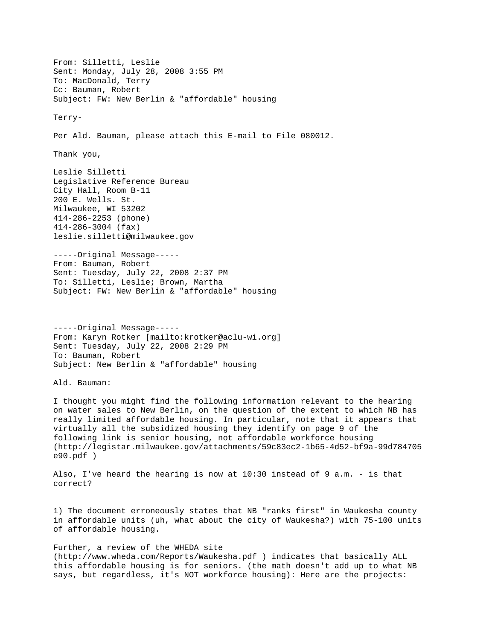From: Silletti, Leslie Sent: Monday, July 28, 2008 3:55 PM To: MacDonald, Terry Cc: Bauman, Robert Subject: FW: New Berlin & "affordable" housing Terry-Per Ald. Bauman, please attach this E-mail to File 080012. Thank you, Leslie Silletti Legislative Reference Bureau City Hall, Room B-11 200 E. Wells. St. Milwaukee, WI 53202 414-286-2253 (phone) 414-286-3004 (fax) leslie.silletti@milwaukee.gov -----Original Message----- From: Bauman, Robert Sent: Tuesday, July 22, 2008 2:37 PM To: Silletti, Leslie; Brown, Martha Subject: FW: New Berlin & "affordable" housing -----Original Message----- From: Karyn Rotker [mailto:krotker@aclu-wi.org] Sent: Tuesday, July 22, 2008 2:29 PM To: Bauman, Robert Subject: New Berlin & "affordable" housing Ald. Bauman: I thought you might find the following information relevant to the hearing on water sales to New Berlin, on the question of the extent to which NB has really limited affordable housing. In particular, note that it appears that virtually all the subsidized housing they identify on page 9 of the following link is senior housing, not affordable workforce housing (http://legistar.milwaukee.gov/attachments/59c83ec2-1b65-4d52-bf9a-99d784705 e90.pdf ) Also, I've heard the hearing is now at 10:30 instead of 9 a.m. - is that correct? 1) The document erroneously states that NB "ranks first" in Waukesha county in affordable units (uh, what about the city of Waukesha?) with 75-100 units of affordable housing.

Further, a review of the WHEDA site (http://www.wheda.com/Reports/Waukesha.pdf ) indicates that basically ALL this affordable housing is for seniors. (the math doesn't add up to what NB says, but regardless, it's NOT workforce housing): Here are the projects: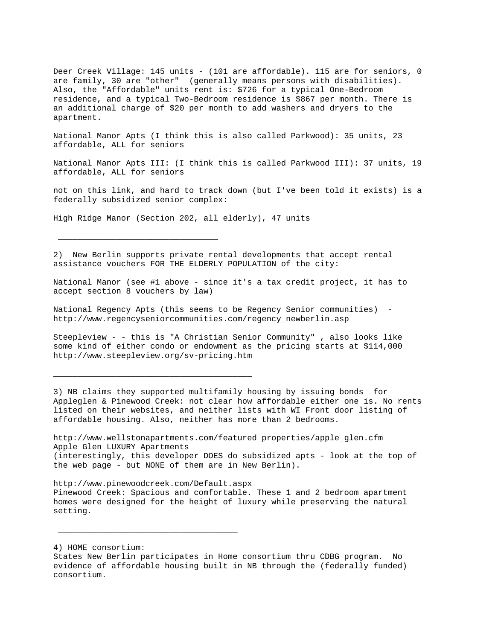Deer Creek Village: 145 units - (101 are affordable). 115 are for seniors, 0 are family, 30 are "other" (generally means persons with disabilities). Also, the "Affordable" units rent is: \$726 for a typical One-Bedroom residence, and a typical Two-Bedroom residence is \$867 per month. There is an additional charge of \$20 per month to add washers and dryers to the apartment.

National Manor Apts (I think this is also called Parkwood): 35 units, 23 affordable, ALL for seniors

National Manor Apts III: (I think this is called Parkwood III): 37 units, 19 affordable, ALL for seniors

not on this link, and hard to track down (but I've been told it exists) is a federally subsidized senior complex:

High Ridge Manor (Section 202, all elderly), 47 units

\_\_\_\_\_\_\_\_\_\_\_\_\_\_\_\_\_\_\_\_\_\_\_\_\_\_\_\_\_\_\_\_\_

\_\_\_\_\_\_\_\_\_\_\_\_\_\_\_\_\_\_\_\_\_\_\_\_\_\_\_\_\_\_\_\_\_\_\_\_\_\_\_\_\_

 $\frac{1}{2}$  ,  $\frac{1}{2}$  ,  $\frac{1}{2}$  ,  $\frac{1}{2}$  ,  $\frac{1}{2}$  ,  $\frac{1}{2}$  ,  $\frac{1}{2}$  ,  $\frac{1}{2}$  ,  $\frac{1}{2}$  ,  $\frac{1}{2}$  ,  $\frac{1}{2}$  ,  $\frac{1}{2}$  ,  $\frac{1}{2}$  ,  $\frac{1}{2}$  ,  $\frac{1}{2}$  ,  $\frac{1}{2}$  ,  $\frac{1}{2}$  ,  $\frac{1}{2}$  ,  $\frac{1$ 

2) New Berlin supports private rental developments that accept rental assistance vouchers FOR THE ELDERLY POPULATION of the city:

National Manor (see #1 above - since it's a tax credit project, it has to accept section 8 vouchers by law)

National Regency Apts (this seems to be Regency Senior communities) http://www.regencyseniorcommunities.com/regency\_newberlin.asp

Steepleview - - this is "A Christian Senior Community" , also looks like some kind of either condo or endowment as the pricing starts at \$114,000 http://www.steepleview.org/sv-pricing.htm

3) NB claims they supported multifamily housing by issuing bonds for Appleglen & Pinewood Creek: not clear how affordable either one is. No rents listed on their websites, and neither lists with WI Front door listing of affordable housing. Also, neither has more than 2 bedrooms.

http://www.wellstonapartments.com/featured\_properties/apple\_glen.cfm Apple Glen LUXURY Apartments (interestingly, this developer DOES do subsidized apts - look at the top of the web page - but NONE of them are in New Berlin).

http://www.pinewoodcreek.com/Default.aspx Pinewood Creek: Spacious and comfortable. These 1 and 2 bedroom apartment homes were designed for the height of luxury while preserving the natural setting.

4) HOME consortium:

States New Berlin participates in Home consortium thru CDBG program. No evidence of affordable housing built in NB through the (federally funded) consortium.